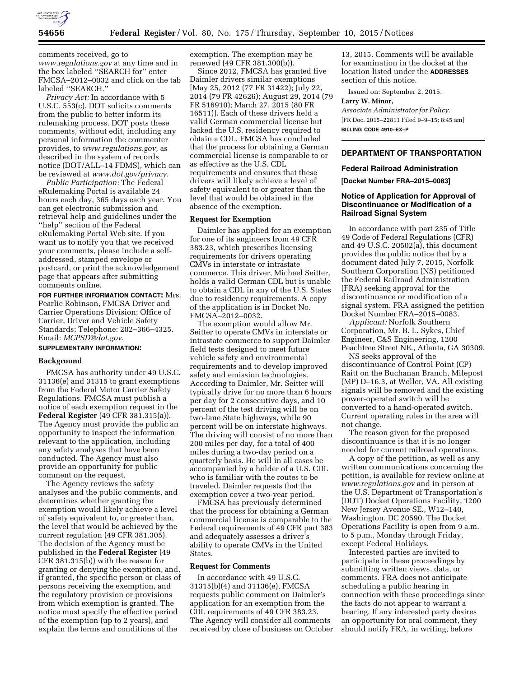

comments received, go to *[www.regulations.gov](http://www.regulations.gov)* at any time and in the box labeled ''SEARCH for'' enter FMCSA–2012–0032 and click on the tab labeled ''SEARCH.''

*Privacy Act:* In accordance with 5 U.S.C. 553(c), DOT solicits comments from the public to better inform its rulemaking process. DOT posts these comments, without edit, including any personal information the commenter provides, to *[www.regulations.gov,](http://www.regulations.gov)* as described in the system of records notice (DOT/ALL–14 FDMS), which can be reviewed at *[www.dot.gov/privacy.](http://www.dot.gov/privacy)* 

*Public Participation:* The Federal eRulemaking Portal is available 24 hours each day, 365 days each year. You can get electronic submission and retrieval help and guidelines under the ''help'' section of the Federal eRulemaking Portal Web site. If you want us to notify you that we received your comments, please include a selfaddressed, stamped envelope or postcard, or print the acknowledgement page that appears after submitting comments online.

**FOR FURTHER INFORMATION CONTACT:** Mrs. Pearlie Robinson, FMCSA Driver and Carrier Operations Division; Office of Carrier, Driver and Vehicle Safety Standards; Telephone: 202–366–4325. Email: *[MCPSD@dot.gov](mailto:MCPSD@dot.gov)*.

# **SUPPLEMENTARY INFORMATION:**

## **Background**

FMCSA has authority under 49 U.S.C. 31136(e) and 31315 to grant exemptions from the Federal Motor Carrier Safety Regulations. FMCSA must publish a notice of each exemption request in the **Federal Register** (49 CFR 381.315(a)). The Agency must provide the public an opportunity to inspect the information relevant to the application, including any safety analyses that have been conducted. The Agency must also provide an opportunity for public comment on the request.

The Agency reviews the safety analyses and the public comments, and determines whether granting the exemption would likely achieve a level of safety equivalent to, or greater than, the level that would be achieved by the current regulation (49 CFR 381.305). The decision of the Agency must be published in the **Federal Register** (49 CFR 381.315(b)) with the reason for granting or denying the exemption, and, if granted, the specific person or class of persons receiving the exemption, and the regulatory provision or provisions from which exemption is granted. The notice must specify the effective period of the exemption (up to 2 years), and explain the terms and conditions of the

exemption. The exemption may be renewed (49 CFR 381.300(b)).

Since 2012, FMCSA has granted five Daimler drivers similar exemptions [May 25, 2012 (77 FR 31422); July 22, 2014 (79 FR 42626); August 29, 2014 (79 FR 516910); March 27, 2015 (80 FR 16511)]. Each of these drivers held a valid German commercial license but lacked the U.S. residency required to obtain a CDL. FMCSA has concluded that the process for obtaining a German commercial license is comparable to or as effective as the U.S. CDL requirements and ensures that these drivers will likely achieve a level of safety equivalent to or greater than the level that would be obtained in the absence of the exemption.

### **Request for Exemption**

Daimler has applied for an exemption for one of its engineers from 49 CFR 383.23, which prescribes licensing requirements for drivers operating CMVs in interstate or intrastate commerce. This driver, Michael Seitter, holds a valid German CDL but is unable to obtain a CDL in any of the U.S. States due to residency requirements. A copy of the application is in Docket No. FMCSA–2012–0032.

The exemption would allow Mr. Seitter to operate CMVs in interstate or intrastate commerce to support Daimler field tests designed to meet future vehicle safety and environmental requirements and to develop improved safety and emission technologies. According to Daimler, Mr. Seitter will typically drive for no more than 6 hours per day for 2 consecutive days, and 10 percent of the test driving will be on two-lane State highways, while 90 percent will be on interstate highways. The driving will consist of no more than 200 miles per day, for a total of 400 miles during a two-day period on a quarterly basis. He will in all cases be accompanied by a holder of a U.S. CDL who is familiar with the routes to be traveled. Daimler requests that the exemption cover a two-year period.

FMCSA has previously determined that the process for obtaining a German commercial license is comparable to the Federal requirements of 49 CFR part 383 and adequately assesses a driver's ability to operate CMVs in the United States.

## **Request for Comments**

In accordance with 49 U.S.C. 31315(b)(4) and 31136(e), FMCSA requests public comment on Daimler's application for an exemption from the CDL requirements of 49 CFR 383.23. The Agency will consider all comments received by close of business on October

13, 2015. Comments will be available for examination in the docket at the location listed under the **ADDRESSES** section of this notice.

Issued on: September 2, 2015.

### **Larry W. Minor,**

*Associate Administrator for Policy.*  [FR Doc. 2015–22811 Filed 9–9–15; 8:45 am] **BILLING CODE 4910–EX–P** 

### **DEPARTMENT OF TRANSPORTATION**

# **Federal Railroad Administration**

**[Docket Number FRA–2015–0083]** 

## **Notice of Application for Approval of Discontinuance or Modification of a Railroad Signal System**

In accordance with part 235 of Title 49 Code of Federal Regulations (CFR) and 49 U.S.C. 20502(a), this document provides the public notice that by a document dated July 7, 2015, Norfolk Southern Corporation (NS) petitioned the Federal Railroad Administration (FRA) seeking approval for the discontinuance or modification of a signal system. FRA assigned the petition Docket Number FRA-2015-0083.

*Applicant:* Norfolk Southern Corporation, Mr. B. L. Sykes, Chief Engineer, C&S Engineering, 1200 Peachtree Street NE., Atlanta, GA 30309.

NS seeks approval of the discontinuance of Control Point (CP) Raitt on the Buchanan Branch, Milepost (MP) D–16.3, at Weller, VA. All existing signals will be removed and the existing power-operated switch will be converted to a hand-operated switch. Current operating rules in the area will not change.

The reason given for the proposed discontinuance is that it is no longer needed for current railroad operations.

A copy of the petition, as well as any written communications concerning the petition, is available for review online at *[www.regulations.gov](http://www.regulations.gov)* and in person at the U.S. Department of Transportation's (DOT) Docket Operations Facility, 1200 New Jersey Avenue SE., W12–140, Washington, DC 20590. The Docket Operations Facility is open from 9 a.m. to 5 p.m., Monday through Friday, except Federal Holidays.

Interested parties are invited to participate in these proceedings by submitting written views, data, or comments. FRA does not anticipate scheduling a public hearing in connection with these proceedings since the facts do not appear to warrant a hearing. If any interested party desires an opportunity for oral comment, they should notify FRA, in writing, before